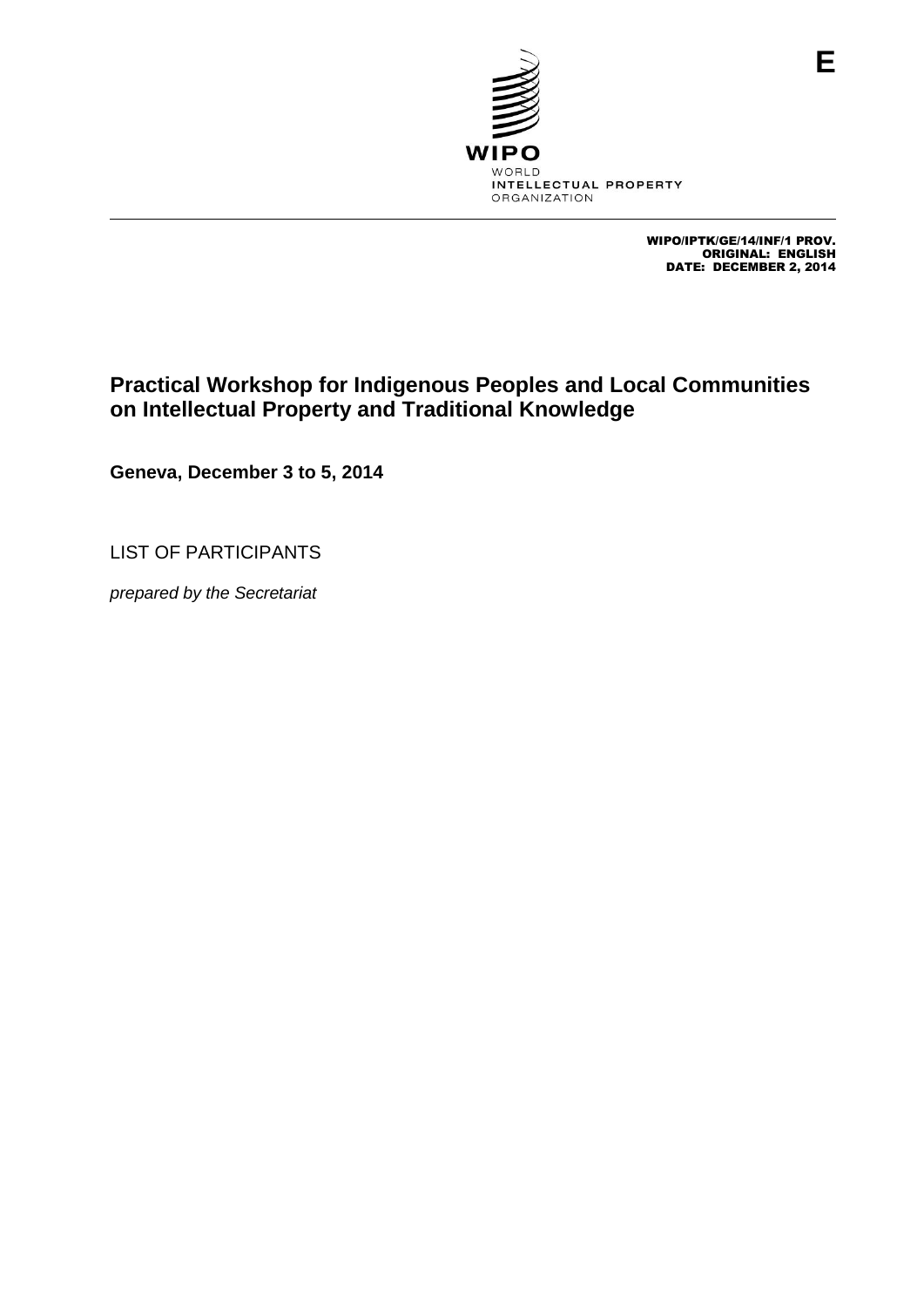

WIPO/IPTK/GE/14/INF/1 PROV. ORIGINAL: ENGLISH DATE: DECEMBER 2, 2014

# **Practical Workshop for Indigenous Peoples and Local Communities on Intellectual Property and Traditional Knowledge**

**Geneva, December 3 to 5, 2014**

LIST OF PARTICIPANTS

*prepared by the Secretariat*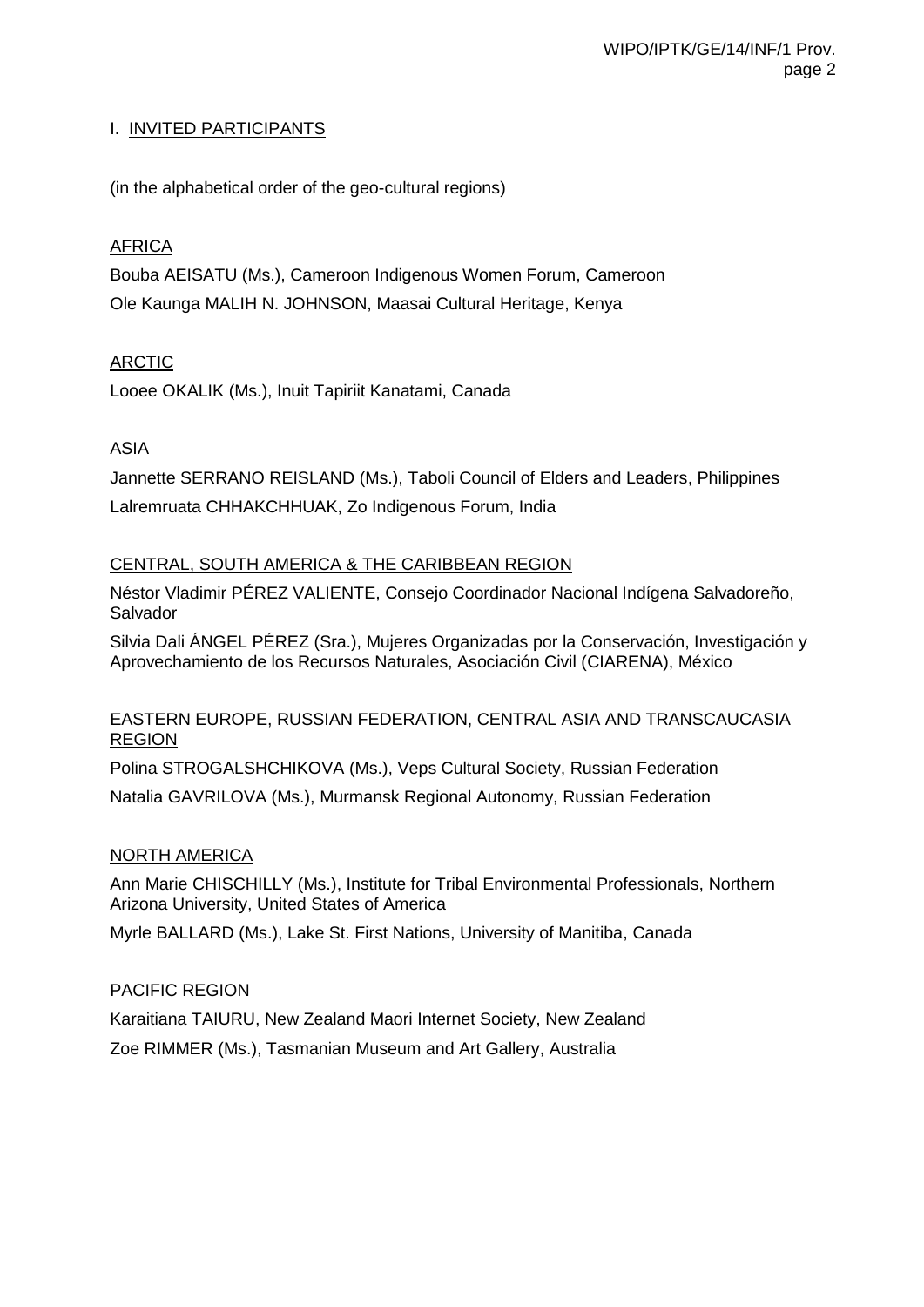## I. INVITED PARTICIPANTS

(in the alphabetical order of the geo-cultural regions)

## AFRICA

Bouba AEISATU (Ms.), Cameroon Indigenous Women Forum, Cameroon Ole Kaunga MALIH N. JOHNSON, Maasai Cultural Heritage, Kenya

# ARCTIC

Looee OKALIK (Ms.), Inuit Tapiriit Kanatami, Canada

# ASIA

Jannette SERRANO REISLAND (Ms.), Taboli Council of Elders and Leaders, Philippines Lalremruata CHHAKCHHUAK, Zo Indigenous Forum, India

## CENTRAL, SOUTH AMERICA & THE CARIBBEAN REGION

Néstor Vladimir PÉREZ VALIENTE, Consejo Coordinador Nacional Indígena Salvadoreño, Salvador

Silvia Dali ÁNGEL PÉREZ (Sra.), Mujeres Organizadas por la Conservación, Investigación y Aprovechamiento de los Recursos Naturales, Asociación Civil (CIARENA), México

#### EASTERN EUROPE, RUSSIAN FEDERATION, CENTRAL ASIA AND TRANSCAUCASIA REGION

Polina STROGALSHCHIKOVA (Ms.), Veps Cultural Society, Russian Federation Natalia GAVRILOVA (Ms.), Murmansk Regional Autonomy, Russian Federation

#### NORTH AMERICA

Ann Marie CHISCHILLY (Ms.), Institute for Tribal Environmental Professionals, Northern Arizona University, United States of America

Myrle BALLARD (Ms.), Lake St. First Nations, University of Manitiba, Canada

#### PACIFIC REGION

Karaitiana TAIURU, New Zealand Maori Internet Society, New Zealand Zoe RIMMER (Ms.), Tasmanian Museum and Art Gallery, Australia